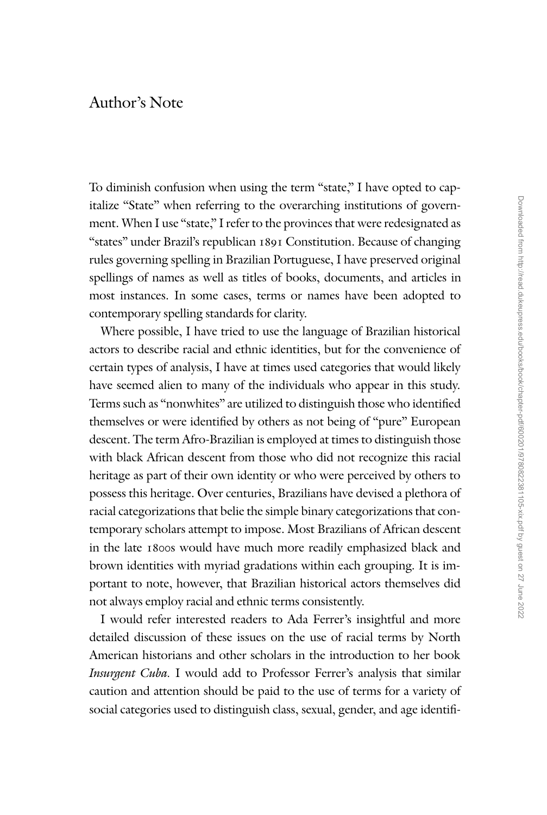## Author's Note

To diminish confusion when using the term "state," I have opted to capitalize "State" when referring to the overarching institutions of government. When I use "state," I refer to the provinces that were redesignated as "states" under Brazil's republican 1891 Constitution. Because of changing rules governing spelling in Brazilian Portuguese, I have preserved original spellings of names as well as titles of books, documents, and articles in most instances. In some cases, terms or names have been adopted to contemporary spelling standards for clarity.

Where possible, I have tried to use the language of Brazilian historical actors to describe racial and ethnic identities, but for the convenience of certain types of analysis, I have at times used categories that would likely have seemed alien to many of the individuals who appear in this study. Terms such as ''nonwhites'' are utilized to distinguish those who identified themselves or were identified by others as not being of ''pure'' European descent. The term Afro-Brazilian is employed at times to distinguish those with black African descent from those who did not recognize this racial heritage as part of their own identity or who were perceived by others to possess this heritage. Over centuries, Brazilians have devised a plethora of racial categorizations that belie the simple binary categorizations that contemporary scholars attempt to impose. Most Brazilians of African descent in the late 1800s would have much more readily emphasized black and brown identities with myriad gradations within each grouping. It is important to note, however, that Brazilian historical actors themselves did not always employ racial and ethnic terms consistently.

I would refer interested readers to Ada Ferrer's insightful and more detailed discussion of these issues on the use of racial terms by North American historians and other scholars in the introduction to her book *Insurgent Cuba.* I would add to Professor Ferrer's analysis that similar caution and attention should be paid to the use of terms for a variety of social categories used to distinguish class, sexual, gender, and age identifi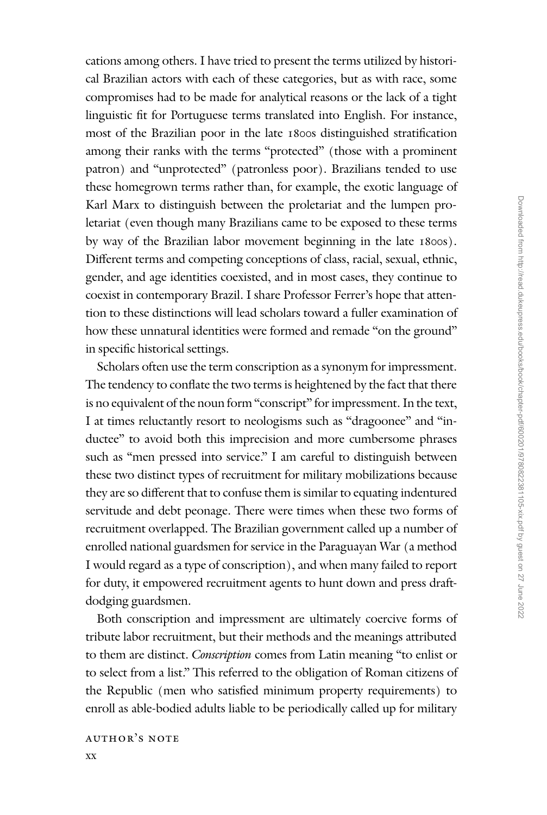cations among others. I have tried to present the terms utilized by historical Brazilian actors with each of these categories, but as with race, some compromises had to be made for analytical reasons or the lack of a tight linguistic fit for Portuguese terms translated into English. For instance, most of the Brazilian poor in the late 1800s distinguished stratification among their ranks with the terms "protected" (those with a prominent patron) and ''unprotected'' (patronless poor). Brazilians tended to use these homegrown terms rather than, for example, the exotic language of Karl Marx to distinguish between the proletariat and the lumpen proletariat (even though many Brazilians came to be exposed to these terms by way of the Brazilian labor movement beginning in the late 1800s). Different terms and competing conceptions of class, racial, sexual, ethnic, gender, and age identities coexisted, and in most cases, they continue to coexist in contemporary Brazil. I share Professor Ferrer's hope that attention to these distinctions will lead scholars toward a fuller examination of how these unnatural identities were formed and remade "on the ground" in specific historical settings.

Scholars often use the term conscription as a synonym for impressment. The tendency to conflate the two terms is heightened by the fact that there is no equivalent of the noun form "conscript" for impressment. In the text, I at times reluctantly resort to neologisms such as ''dragoonee'' and ''inductee" to avoid both this imprecision and more cumbersome phrases such as "men pressed into service." I am careful to distinguish between these two distinct types of recruitment for military mobilizations because they are so different that to confuse them is similar to equating indentured servitude and debt peonage. There were times when these two forms of recruitment overlapped. The Brazilian government called up a number of enrolled national guardsmen for service in the Paraguayan War (a method I would regard as a type of conscription), and when many failed to report for duty, it empowered recruitment agents to hunt down and press draftdodging guardsmen.

Both conscription and impressment are ultimately coercive forms of tribute labor recruitment, but their methods and the meanings attributed to them are distinct. *Conscription* comes from Latin meaning ''to enlist or to select from a list.'' This referred to the obligation of Roman citizens of the Republic (men who satisfied minimum property requirements) to enroll as able-bodied adults liable to be periodically called up for military

author's note